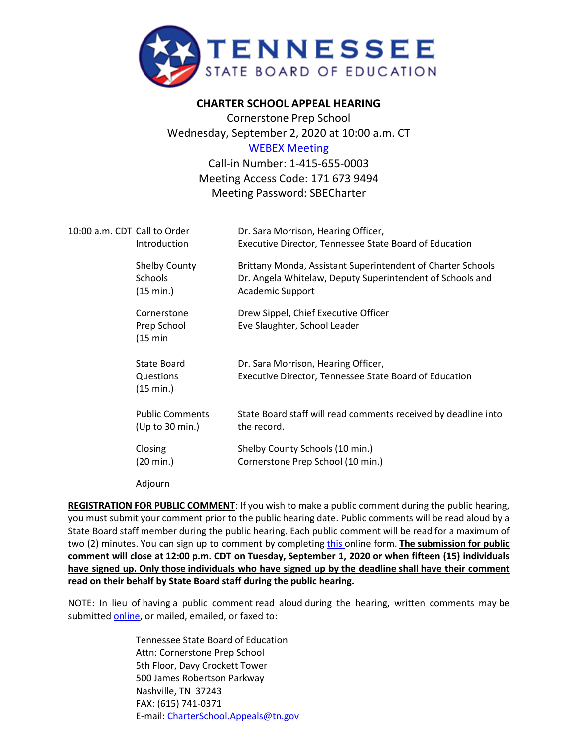

## **CHARTER SCHOOL APPEAL HEARING**

Cornerstone Prep School Wednesday, September 2, 2020 at 10:00 a.m. CT [WEBEX Meeting](https://tngov.webex.com/tngov/onstage/g.php?MTID=e5be99d365d521e0d6c69bc144aeae56e) Call-in Number: 1-415-655-0003

Meeting Access Code: 171 673 9494 Meeting Password: SBECharter

| 10:00 a.m. CDT Call to Order | Introduction                                        | Dr. Sara Morrison, Hearing Officer,<br>Executive Director, Tennessee State Board of Education                                                       |
|------------------------------|-----------------------------------------------------|-----------------------------------------------------------------------------------------------------------------------------------------------------|
|                              | <b>Shelby County</b><br><b>Schools</b><br>(15 min.) | Brittany Monda, Assistant Superintendent of Charter Schools<br>Dr. Angela Whitelaw, Deputy Superintendent of Schools and<br><b>Academic Support</b> |
|                              | Cornerstone<br>Prep School<br>$(15 \text{ min})$    | Drew Sippel, Chief Executive Officer<br>Eve Slaughter, School Leader                                                                                |
|                              | <b>State Board</b><br>Questions<br>(15 min.)        | Dr. Sara Morrison, Hearing Officer,<br>Executive Director, Tennessee State Board of Education                                                       |
|                              | <b>Public Comments</b><br>(Up to 30 min.)           | State Board staff will read comments received by deadline into<br>the record.                                                                       |
|                              | Closing<br>(20 min.)                                | Shelby County Schools (10 min.)<br>Cornerstone Prep School (10 min.)                                                                                |
|                              | Adjourn                                             |                                                                                                                                                     |

**REGISTRATION FOR PUBLIC COMMENT**: If you wish to make a public comment during the public hearing, you must submit your comment prior to the public hearing date. Public comments will be read aloud by a State Board staff member during the public hearing. Each public comment will be read for a maximum of two (2) minutes. You can sign up to comment by completing [this](https://stateoftennessee.formstack.com/forms/signup_for_public_comment_cornerstone_public_hearing) online form. **The submission for public comment will close at 12:00 p.m. CDT on Tuesday, September 1, 2020 or when fifteen (15) individuals have signed up. Only those individuals who have signed up by the deadline shall have their comment read on their behalf by State Board staff during the public hearing.**

NOTE: In lieu of having a public comment read aloud during the hearing, written comments may be submitted [online,](https://stateoftennessee.formstack.com/forms/charter_school_appeals_written_public_comment_for_cornerstone) or mailed, emailed, or faxed to:

> Tennessee State Board of Education Attn: Cornerstone Prep School 5th Floor, Davy Crockett Tower 500 James Robertson Parkway Nashville, TN 37243 FAX: (615) 741-0371 E-mail: [CharterSchool.Appeals@tn.gov](mailto:CharterSchool.Appeals@tn.gov)